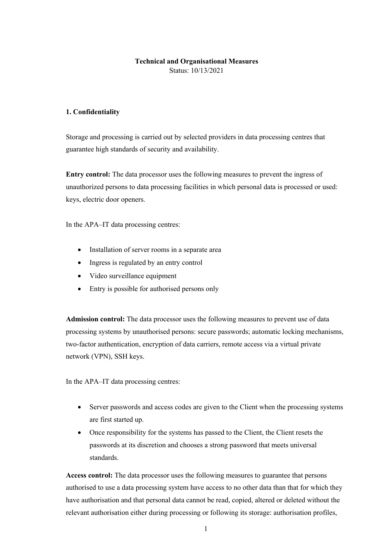# **Technical and Organisational Measures**

Status: 10/13/2021

#### **1. Confidentiality**

Storage and processing is carried out by selected providers in data processing centres that guarantee high standards of security and availability.

**Entry control:** The data processor uses the following measures to prevent the ingress of unauthorized persons to data processing facilities in which personal data is processed or used: keys, electric door openers.

In the APA–IT data processing centres:

- Installation of server rooms in a separate area
- Ingress is regulated by an entry control
- Video surveillance equipment
- Entry is possible for authorised persons only

**Admission control:** The data processor uses the following measures to prevent use of data processing systems by unauthorised persons: secure passwords; automatic locking mechanisms, two-factor authentication, encryption of data carriers, remote access via a virtual private network (VPN), SSH keys.

In the APA–IT data processing centres:

- Server passwords and access codes are given to the Client when the processing systems are first started up.
- Once responsibility for the systems has passed to the Client, the Client resets the passwords at its discretion and chooses a strong password that meets universal standards.

**Access control:** The data processor uses the following measures to guarantee that persons authorised to use a data processing system have access to no other data than that for which they have authorisation and that personal data cannot be read, copied, altered or deleted without the relevant authorisation either during processing or following its storage: authorisation profiles,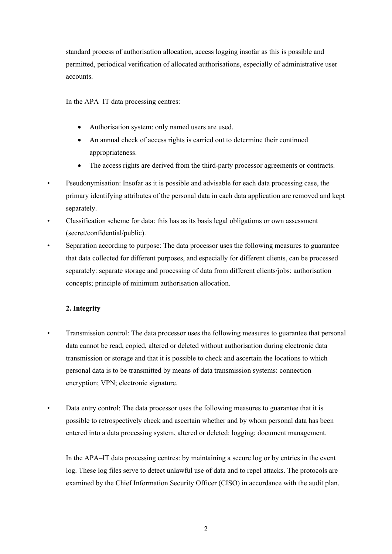standard process of authorisation allocation, access logging insofar as this is possible and permitted, periodical verification of allocated authorisations, especially of administrative user accounts.

In the APA–IT data processing centres:

- Authorisation system: only named users are used.
- An annual check of access rights is carried out to determine their continued appropriateness.
- The access rights are derived from the third-party processor agreements or contracts.
- Pseudonymisation: Insofar as it is possible and advisable for each data processing case, the primary identifying attributes of the personal data in each data application are removed and kept separately.
- Classification scheme for data: this has as its basis legal obligations or own assessment (secret/confidential/public).
- Separation according to purpose: The data processor uses the following measures to guarantee that data collected for different purposes, and especially for different clients, can be processed separately: separate storage and processing of data from different clients/jobs; authorisation concepts; principle of minimum authorisation allocation.

# **2. Integrity**

- Transmission control: The data processor uses the following measures to guarantee that personal data cannot be read, copied, altered or deleted without authorisation during electronic data transmission or storage and that it is possible to check and ascertain the locations to which personal data is to be transmitted by means of data transmission systems: connection encryption; VPN; electronic signature.
- Data entry control: The data processor uses the following measures to guarantee that it is possible to retrospectively check and ascertain whether and by whom personal data has been entered into a data processing system, altered or deleted: logging; document management.

In the APA–IT data processing centres: by maintaining a secure log or by entries in the event log. These log files serve to detect unlawful use of data and to repel attacks. The protocols are examined by the Chief Information Security Officer (CISO) in accordance with the audit plan.